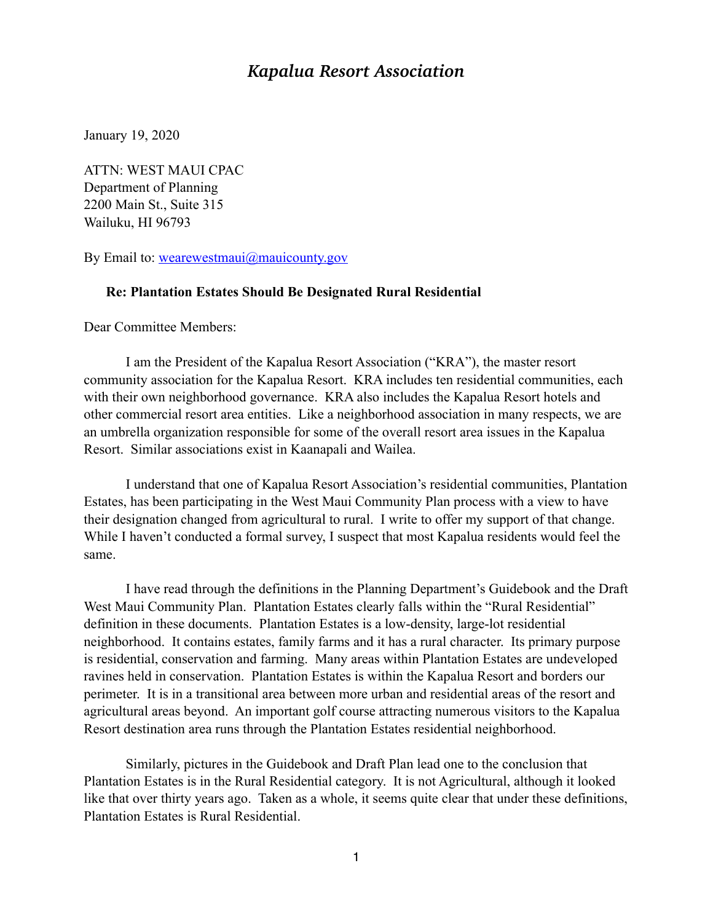## *Kapalua Resort Association*

January 19, 2020

ATTN: WEST MAUI CPAC Department of Planning 2200 Main St., Suite 315 Wailuku, HI 96793

By Email to: [wearewestmaui@mauicounty.gov](mailto:wearewestmaui@mauicounty.gov)

## **Re: Plantation Estates Should Be Designated Rural Residential**

Dear Committee Members:

I am the President of the Kapalua Resort Association ("KRA"), the master resort community association for the Kapalua Resort. KRA includes ten residential communities, each with their own neighborhood governance. KRA also includes the Kapalua Resort hotels and other commercial resort area entities. Like a neighborhood association in many respects, we are an umbrella organization responsible for some of the overall resort area issues in the Kapalua Resort. Similar associations exist in Kaanapali and Wailea.

I understand that one of Kapalua Resort Association's residential communities, Plantation Estates, has been participating in the West Maui Community Plan process with a view to have their designation changed from agricultural to rural. I write to offer my support of that change. While I haven't conducted a formal survey, I suspect that most Kapalua residents would feel the same.

I have read through the definitions in the Planning Department's Guidebook and the Draft West Maui Community Plan. Plantation Estates clearly falls within the "Rural Residential" definition in these documents. Plantation Estates is a low-density, large-lot residential neighborhood. It contains estates, family farms and it has a rural character. Its primary purpose is residential, conservation and farming. Many areas within Plantation Estates are undeveloped ravines held in conservation. Plantation Estates is within the Kapalua Resort and borders our perimeter. It is in a transitional area between more urban and residential areas of the resort and agricultural areas beyond. An important golf course attracting numerous visitors to the Kapalua Resort destination area runs through the Plantation Estates residential neighborhood.

Similarly, pictures in the Guidebook and Draft Plan lead one to the conclusion that Plantation Estates is in the Rural Residential category. It is not Agricultural, although it looked like that over thirty years ago. Taken as a whole, it seems quite clear that under these definitions, Plantation Estates is Rural Residential.